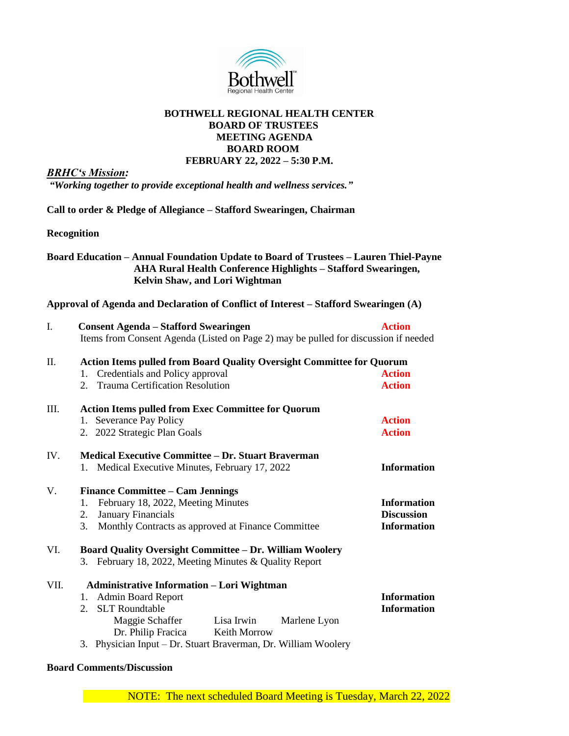

### **BOTHWELL REGIONAL HEALTH CENTER BOARD OF TRUSTEES MEETING AGENDA BOARD ROOM FEBRUARY 22, 2022 – 5:30 P.M.**

*BRHC's Mission:*

*"Working together to provide exceptional health and wellness services."*

**Call to order & Pledge of Allegiance – Stafford Swearingen, Chairman**

**Recognition**

# **Board Education – Annual Foundation Update to Board of Trustees – Lauren Thiel-Payne AHA Rural Health Conference Highlights – Stafford Swearingen, Kelvin Shaw, and Lori Wightman**

### **Approval of Agenda and Declaration of Conflict of Interest – Stafford Swearingen (A)**

| I.   | <b>Consent Agenda – Stafford Swearingen</b><br>Items from Consent Agenda (Listed on Page 2) may be pulled for discussion if needed                                                                                                                              | <b>Action</b>                                                 |
|------|-----------------------------------------------------------------------------------------------------------------------------------------------------------------------------------------------------------------------------------------------------------------|---------------------------------------------------------------|
| П.   | <b>Action Items pulled from Board Quality Oversight Committee for Quorum</b><br>Credentials and Policy approval<br>1.<br>2. Trauma Certification Resolution                                                                                                     | <b>Action</b><br><b>Action</b>                                |
| III. | <b>Action Items pulled from Exec Committee for Quorum</b><br>1. Severance Pay Policy<br>2. 2022 Strategic Plan Goals                                                                                                                                            | <b>Action</b><br><b>Action</b>                                |
| IV.  | <b>Medical Executive Committee – Dr. Stuart Braverman</b><br>1. Medical Executive Minutes, February 17, 2022                                                                                                                                                    | <b>Information</b>                                            |
| V.   | <b>Finance Committee - Cam Jennings</b><br>February 18, 2022, Meeting Minutes<br>1.<br>January Financials<br>2.<br>3.<br>Monthly Contracts as approved at Finance Committee                                                                                     | <b>Information</b><br><b>Discussion</b><br><b>Information</b> |
| VI.  | <b>Board Quality Oversight Committee - Dr. William Woolery</b><br>3. February 18, 2022, Meeting Minutes & Quality Report                                                                                                                                        |                                                               |
| VII. | <b>Administrative Information - Lori Wightman</b><br>1. Admin Board Report<br>2. SLT Roundtable<br>Maggie Schaffer<br>Lisa Irwin<br>Marlene Lyon<br>Dr. Philip Fracica<br><b>Keith Morrow</b><br>3. Physician Input - Dr. Stuart Braverman, Dr. William Woolery | <b>Information</b><br><b>Information</b>                      |

### **Board Comments/Discussion**